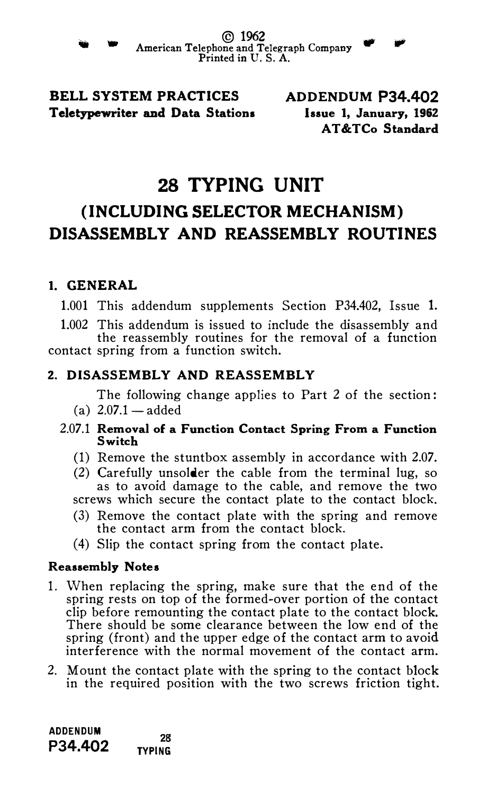BELL SYSTEM PRACTICES Teletypewriter and Data Stations ADDENDUM P34.402 Issue 1, January, 1962 AT &TCo Standard

# 28 TYPING UNIT (INCLUDING SELECTOR MECHANISM) DISASSEMBLY AND REASSEMBLY ROUTINES

# 1. GENERAL

1.001 This addendum supplements Section P34.402, Issue 1.

1.002 This addendum is issued to include the disassembly and the reassembly routines for the removal of a function contact spring from a function switch.

# 2. DISASSEMBLY AND REASSEMBLY

The following change applies to Part 2 of the section: (a)  $2.07.1 - \text{added}$ 

- 2.07.1 Removal of a Function Contact Spring From a Function **Switch** 
	- (1) Remove the stuntbox assembly in accordance with 2.07.
	- (2) Carefully unsolder the cable from the terminal lug, so as to avoid damage to the cable, and remove the two screws which secure the contact plate to the contact block.
	- (3) Remove the contact plate with the spring and remove the contact arm from the contact block.
	- (4) Slip the contact spring from the contact plate.

# Reassembly No<sup>t</sup>es

- 1. When replacing the spring, make sure that the end of the spring rests on top of the formed-over portion of the contact clip before remounting the contact plate to the contact block. There should be some clearance between the low end of the spring (front) and the upper edge of the contact arm to avoid interference with the normal movement of the contact arm.
- 2. Mount the contact plate with the spring to the contact block in the required position with the two screws friction tight.

ADDENDUM <sup>28</sup><br>P34.402 <sub>ryping</sub> TYPING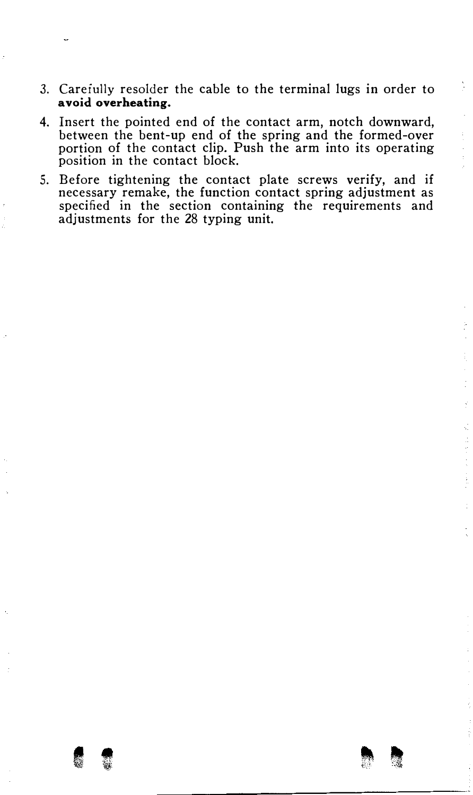- 3. Careiully resolder the cable to the terminal lugs in order to avoid overheating.
- 4. Insert the pointed end of the contact arm, notch downward, between the bent-up end of the spring and the formed-over portion of the contact clip. Push the arm into its operating position in the contact block.
- 5. Before tightening the contact plate screws verify, and if necessary remake, the function contact spring adjustment as specified in the section containing the requirements and adjustments for the 28 typing unit.
- Miller and the

ĵ.

 $\frac{1}{2}$  ,  $\frac{1}{2}$ 

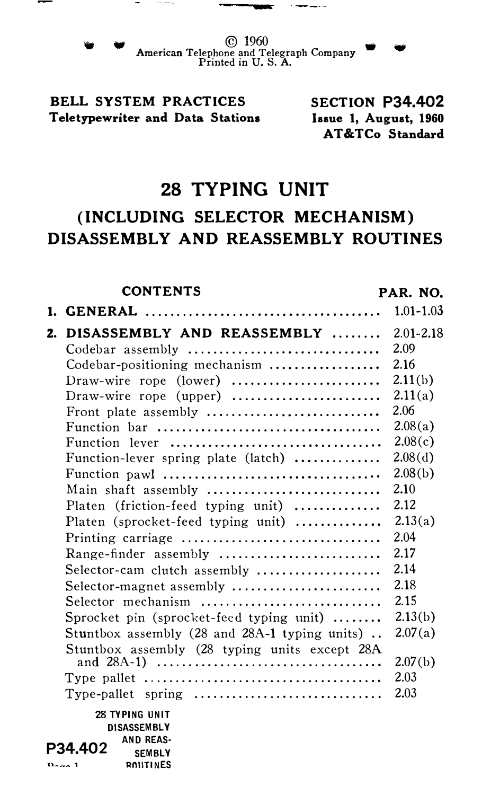- . .

<sup>w</sup>© 1960 • American Telephone and Telegraph Company Printed in U. S. A.

# BELL SYSTEM PRACTICES Teletypewriter and Data Stations

SECTION P34.402 Issue 1, August, 1960 AT&TCo Standard

# 28 TYPING UNIT

# (INCLUDING SELECTOR MECHANISM) DISASSEMBLY AND REASSEMBLY ROUTINES

|    | <b>CONTENTS</b>                                | PAR. NO.      |
|----|------------------------------------------------|---------------|
|    |                                                | $1.01 - 1.03$ |
| 2. | DISASSEMBLY AND REASSEMBLY                     | $2.01 - 2.18$ |
|    | Codebar assembly                               | 2.09          |
|    | Codebar-positioning mechanism                  | 2.16          |
|    | Draw-wire rope (lower)                         | 2.11(b)       |
|    | Draw-wire rope (upper) $\ldots$                | 2.11(a)       |
|    | Front plate assembly                           | 2.06          |
|    |                                                | 2.08(a)       |
|    | Function lever                                 | 2.08(c)       |
|    | Function-lever spring plate (latch)            | 2.08(d)       |
|    |                                                | 2.08(b)       |
|    | Main shaft assembly                            | 2.10          |
|    | Platen (friction-feed typing unit)             | 2.12          |
|    | Platen (sprocket-feed typing unit)             | 2.13(a)       |
|    | Printing carriage                              | 2.04          |
|    |                                                | 2.17          |
|    | Selector-cam clutch assembly                   | 2.14          |
|    | Selector-magnet assembly                       | 2.18          |
|    | Selector mechanism                             | 2.15          |
|    | Sprocket pin (sprocket-feed typing unit)       | 2.13(b)       |
|    | Stuntbox assembly (28 and 28A-1 typing units). | 2.07(a)       |
|    | Stuntbox assembly (28 typing units except 28A  |               |
|    |                                                | 2.07(b)       |
|    |                                                | 2.03          |
|    |                                                | 2.03          |
|    | 28 TYPING UNIT                                 |               |
|    | DISASSEMBLY                                    |               |
|    | <b>AND REAS-</b><br>P34.402<br><b>SEMBLY</b>   |               |
|    | <b>ROUTINES</b><br>$D_{max}$ 1                 |               |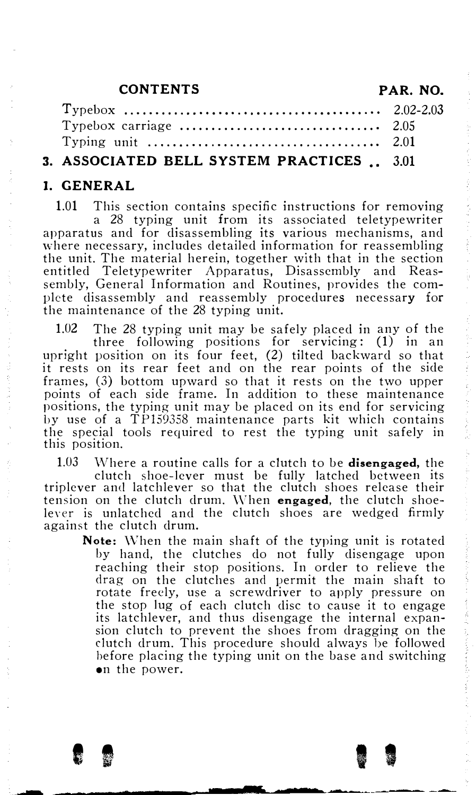### CONTENTS PAR. NO.

| Typing unit $\ldots \ldots \ldots \ldots \ldots \ldots \ldots \ldots \ldots \ldots$ 2.01 |  |
|------------------------------------------------------------------------------------------|--|
| 3. ASSOCIATED BELL SYSTEM PRACTICES . 3.01                                               |  |

#### I. GENERAL

against the clutch drum.

1.01 This section contains specific instructions for removing a 28 typing unit from its associated teletypewriter apparatus and for disassembling its various mechanisms, and where necessary, includes detailed information for reassembling the unit. The material herein, together with that in the section entitled Teletypewriter Apparatus, Disassembly and Reassembly, General Information and Routines, provides the complete disassembly and reassembly procedures necessary for the maintenance of the 28 typing unit.

1.02 The 28 typing unit may be safely placed in any of the three following positions for servicing: (1) in an upright position on its four feet, (2) tilted backward so that it rests on its rear feet and on the rear points of the side frames, (3) bottom upward so that it rests on the two upper points of each side frame. In addition to these maintenance positions, the typing unit may be placed on its end for servicing by use of a TP159358 maintenance parts kit which contains the special tools required to rest the typing unit safely in this position.

1.03 Where a routine calls for a clutch to be disengaged, the clutch shoe-lever must be fully latched between its triplever and latchlever so that the clutch shoes release their tension on the clutch drum. When **engaged**, the clutch shoeleyer is unlatched and the clutch shoes are wedged firmly

Note: When the main shaft of the typing unit is rotated by hand, the clutches do not fully disengage upon reaching their stop positions. In order to relieve the drag on the clutches and permit the main shaft to rotate freely, use a screwdriver to apply pressure on the stop lug of each clutch disc to cause it to engage its latchlever, and thus disengage the internal expansion clutch to prevent the shoes from dragging on the dutch drum. This procedure should always he followed before placing the typing unit on the base and switching on the power.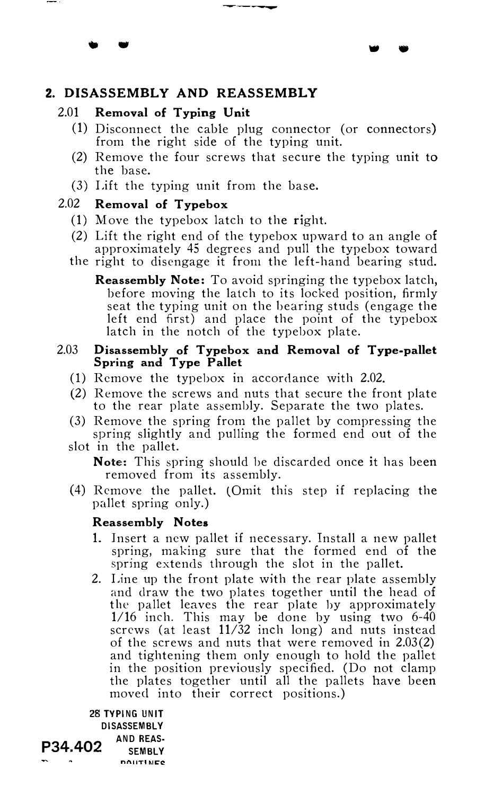#### ----

• •

# 2. DISASSEMBLY AND REASSEMBLY

#### 2.01 Removal of Typing Unit

• •

- (1) Disconnect the cable plug connector (or connectors) from the right side of the typing unit.
- (2) Remove the four screws that secure the typing unit to the base.
- (3) Lift the typing unit from the base.

# 2.02 Removal of Typebox

- (1) Move the typebox latch to the right.
- (2) Lift the right end of the typebox upward to an angle of approximately 45 degrees and pull the typebox toward
- the right to disengage it from the left-hand bearing stud.
	- Reassembly Note: To avoid springing the typebox latch, before moving the latch to its locked position, firmly seat the typing unit on the hearing studs (engage the left end first) and place the point of the typebox latch in the notch of the typebox plate.

# 2.03 Disassembly of Typebox and Removal of Type-pallet Spring and Type Pallet

- (I) Remove the typebox in accordance with 2.02.
- (2) Remove the screws and nuts that secure the front plate to the rear plate assembly. Separate the two plates.
- (3) Remove the spring from the pallet by compressing the spring slightly and pulling the formed end out of the
- slot in the pallet. Note: This spring should he discarded once it has been removed from its assembly.
- $(4)$  Remove the pallet. (Omit this step if replacing the pallet spring only.)

# Reassembly Notes

- 1. Insert a new pallet if necessary. Install a new pallet spring, making sure that the formed end of the spring extends through the slot in the pallet.
- 2. Line up the front plate with the rear plate assembly and draw the two plates together until the head of the pallet leaves the rear plate hy approximately 1/16 inch. This may be done by using two 6-40 screws (at least 11/32 inch long) and nuts instead of the screws and nuts that were removed in 2.03(2) and tightening them only enough to hold the pallet in the position previously specified. (Do not clamp the plates together until all the pallets have been moved into their correct positions.)

28 TYPING UNIT DISASSEMBLY  $P34.402$  AND REAS-SEMBLY **DAUTIMEC**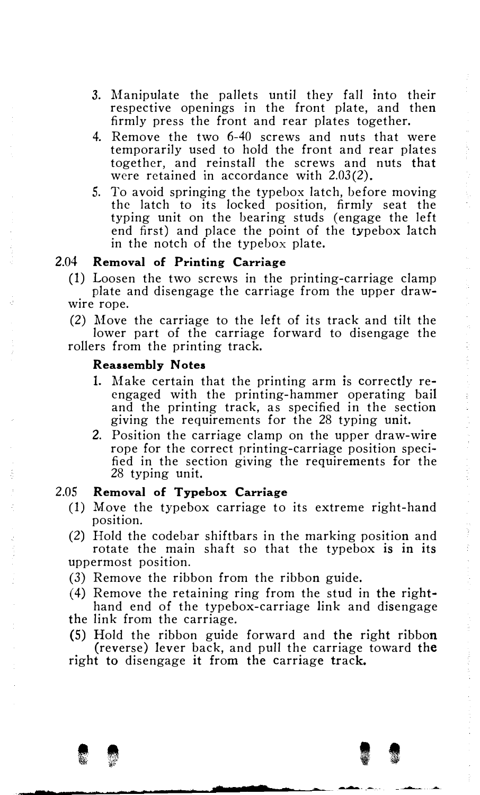- 3. Manipulate the pallets until they fall into their respective openings in the front plate, and then firmly press the front and rear plates together.
- 4. Remove the two 6-40 screws and nuts that were temporarily used to hold the front and rear plates together, and reinstall the screws and nuts that were retained in accordance with 2.03(2).
- 5. To avoid springing the typebox latch, before moving the latch to its locked position, firmly seat the typing unit on the bearing studs (engage the left end first) and place the point of the typebox latch in the notch of the typebox plate.

#### 2.04 Removal of Printing Carriage

(1) Loosen the two screws in the printing-carriage clamp plate and disengage the carriage from the upper drawwire rope.

(2) Move the carriage to the left of its track and tilt the lower part of the carriage forward to disengage the rollers from the printing track.

#### Reassembly Notes

- 1. Make certain that the printing arm is correctly reengaged with the printing-hammer operating bail and the printing track, as specified in the section giving the requirements for the 28 typing unit.
- 2. Position the carriage clamp on the upper draw-wire rope for the correct printing-carriage position specified in the section giving the requirements for the 28 typing unit.

#### 2.05 Removal of Typebox Carriage

- (1) M.ove the typebox carriage to its extreme right-hand position.
- (2) Hold the codebar shiftbars in the marking position and rotate the main shaft so that the typebox is in its uppermost position.
- (3) Remove the ribbon from the ribbon guide.
- (4) Remove the retaining ring from the stud in the righthand end of the typebox-carriage link and disengage the link from the carriage.
- 

--------�--.....--�.

(5) Hold the ribbon guide forward and the right ribbon (reverse) lever back, and pull the carriage toward the right to disengage it from the carriage track.

I I

�.-..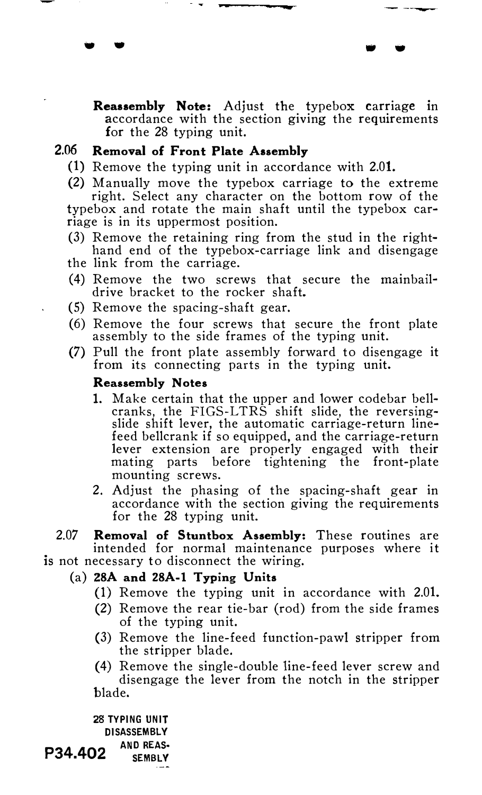Reassembly Note: Adjust the typebox carriage in accordance with the section giving the requirements for the 28 typing unit.

• • • •

#### 2.06 Removal of Front Plate Assembly

- (1) Remove the typing unit in accordance with 2.01.
- (2) Manually move the typebox carriage to the extreme right. Select any character on the bottom row of the typebox and rotate the main shaft until the typebox carriage is in its uppermost position.
- (3) Remove the retaining ring from the stud in the righthand end of the typebox-carriage link and disengage
- the link from the carriage.
- (4) Remove the two screws that secure the mainbaildrive bracket to the rocker shaft.
- (5) Remove the spacing-shaft gear.
- (6) Remove the four screws that secure the front plate assembly to the side frames of the typing unit.
- (7) Pull the front plate assembly forward to disengage it from its connecting parts in the typing unit.

#### Reassembly Notes

- 1. Make certain that the upper and lower codebar bellcranks, the FIGS-LTRS shift slide, the reversingslide shift lever, the automatic carriage-return linefeed bellcrank if so equipped, and the carriage-return lever extension are properly engaged with their mating parts before tightening the front-plate mounting screws.
- 2. Adjust the phasing of the spacing-shaft gear in accordance with the section giving the requirements for the 28 typing unit.
- 2.07 **Removal of Stuntbox Assembly:** These routines are intended for normal maintenance purposes where it is not necessary to disconnect the wiring.

### (a) 28A and 28A-1 Typing Units

- (1) Remove the typing unit in accordance with 2.01.
- (2) Remove the rear tie-bar (rod) from the side frames of the typing unit.
- (3) Remove the line-feed function-pawl stripper from the stripper blade.
- (4) Remove the single-double line-feed lever screw and disengage the lever from the notch in the stripper blade.

28 TYPING UNIT DISASSEMBLY P34.402 AND REAS-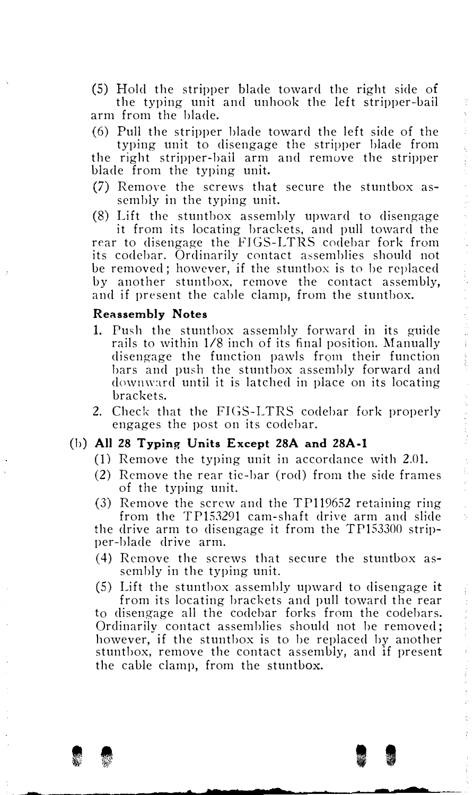(5) Hold the stripper blade toward the right side of the typing unit and unhook the left stripper-bail (6) Pull the stripper blade toward the left side of the typing unit to disengage the stripper blade from the right stripper-bail arm and remove the stripper (7) Remove the screws that secure the stuntbox as-(8) Lift the stuntbox assembly upward to disengage it from its locating brackets. and pull toward the rear to disengage the FIGS-LTRS codebar fork from its codebar. Ordinarily contact assemblies should not be removed; however, if the stuntbox is to be replaced by another stuntbox, remove the contact assembly, and if present the cable clamp, from the stuntbox.

# Reassembly Notes

arm from the blade.

blade from the typing unit.

sembly in the typing unit.

- 1. Push the stunthox assembly forward in its guide rails to within 1/8 inch of its final position. Manually disengage the function pawls from their function bars and push the stuntbox assembly forward and dowmnrd until it is latched in place on its locating brackets.
- 2. Check that the FIGS-LTRS codebar fork properly engages the post on its codcbar.

# (b) All 28 Typing Units Except 28A and 28A-l

- (I) Remove the typing unit in accordance with 2.01.
- (2) Remove the rear tic-bar (rod) from the side frames of the typing unit.

(3) Remove the screw and the TP119652 retaining ring from the  $TP153291$  cam-shaft drive arm and slide the drive arm to disengage it from the TP153300 stripper-blade drive arm.

- $(4)$  Remove the screws that secure the stuntbox assembly in the typing unit.
- (5) Lift the stuntbox assembly upward to disengage it

from its locating brackets and pull toward the rear to disengage all the codchar forks from the coclebars. Ordinarily contact assemblies should not be removed; however, if the stuntbox is to be replaced by another stuntbox, remove the contact assembly, and if present the cable clamp, from the stuntbox.

I <sup>f</sup>I I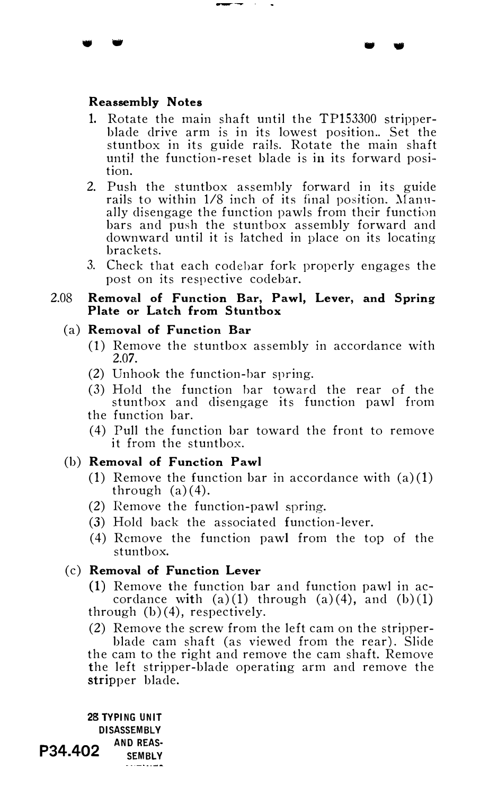#### Reassembly Notes

 $\bullet$  .

1. Rotate the main shaft until the TP153300 stripperblade drive arm is in its lowest position.. Set the stuntbox in its guide rails. Rotate the main shaft until the function-reset blade is in its forward position.

. .

- 2. Push the stuntbox assembly forward in its guide rails to within  $1/8$  inch of its final position. Manually disengage the function pawls from their function bars and push the stunthox assembly forward and downward until it is latched in place on its locating brackets.
- 3. Check that each codehar fork properly engages the post on its respective codebar.
- 2.08 Removal of Function Bar, Pawl, Lever, and Spring Plate or Latch from Stuntbox

# (a) Removal of Function Bar

- (1) Remove the stuntbox assembly in accordance with 2.07.
- (2) Unhook the function-bar spring.
- (3) Hold the function bar toward the rear of the stuntbox and disengage its function pawl from
- the function bar.
- ( 4) Pull the function bar toward the front to remove it from the stuntbox.

# (b) Removal of Function Pawl

- (1) Remove the function bar in accordance with (a) (1) through  $(a)(4)$ .
- (2) Eemove the function-pawl spring.
- (3) Hold back the associated function-lever.
- (4) Remove the function pawl from the top of the stuntbox.

# (c) Removal of Function Lever

- (1) Remove the function bar and function pawl in accordance with  $(a)(1)$  through  $(a)(4)$ , and  $(b)(1)$ through  $(b)(4)$ , respectively.
- (2) Remove the screw from the left cam on the stripperblade cam shaft (as viewed from the rear). Slide the cam to the right and remove the cam shaft. Remove the left stripper-blade operating arm and remove the stripper blade.

28 TYPING UNIT DISASSEMBLY P34.402 AND REAS-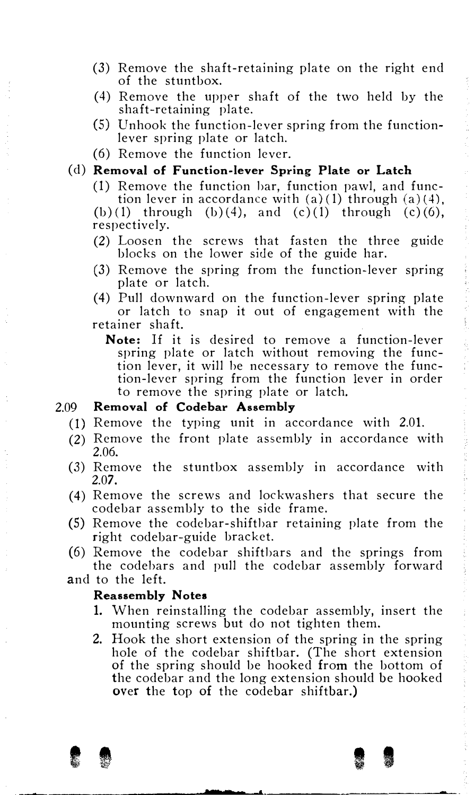- (3) Remove the shaft-retaining plate on the right end of the stuntbox.
- (4) Remove the upper shaft of the two held by the shaft-retaining plate.
- (5) Unhook the function-lever spring from the functionlever spring plate or latch.
- (6) Remove the function lever.

#### (d) Removal of Function-lever Spring Plate or Latch

(1) Remove the function bar, function pawl, and func-

tion lever in accordance with  $(a)(1)$  through  $(a)(4)$ , (b)(1) through (b)(4), and (c)(1) through (c)(6), respectively.

- (2) Loosen the screws that fasten the three guide blocks on the lower side of the guide har.
- (3) Remove the spring from the function-lever spring plate or latch.
- (4) Pull downward on the function-lever spring plate or latch to snap it out of engagement with the retainer shaft.
	- Note: If it is desired to remove a function-lever spring plate or latch without removing the function lever, it will he necessary to remove the function-lever spring from the function lever in order to remove the spring plate or latch.

#### 2.09 Removal of Codebar Assembly

- (1) Remove the typing unit in accordance with 2.01.
- (2) Remove the front plate assembly in accordance with 2.06.
- (3) Remove the stuntbox assembly in accordance with 2.07.
- (4) Remove the screws and lockwashers that secure the codebar assembly to the side frame.
- (5) Remove the codebar-shiftbar retaining plate from the right codebar-guide bracket.
- (6) Remove the codebar shiftbars and the springs from the codehars and pull the codebar assembly forward
- and to the left.

## Reassembly Notes

- 1. When reinstalling the codebar assembly, insert the mounting screws but do not tighten them.
- 2. Hook the short extension of the spring in the spring hole of the codebar shiftbar. (The short extension of the spring should be hooked from the bottom of the codebar and the long extension should be hooked over the top of the codebar shiftbar.)

 $\bullet$   $\bullet$   $\bullet$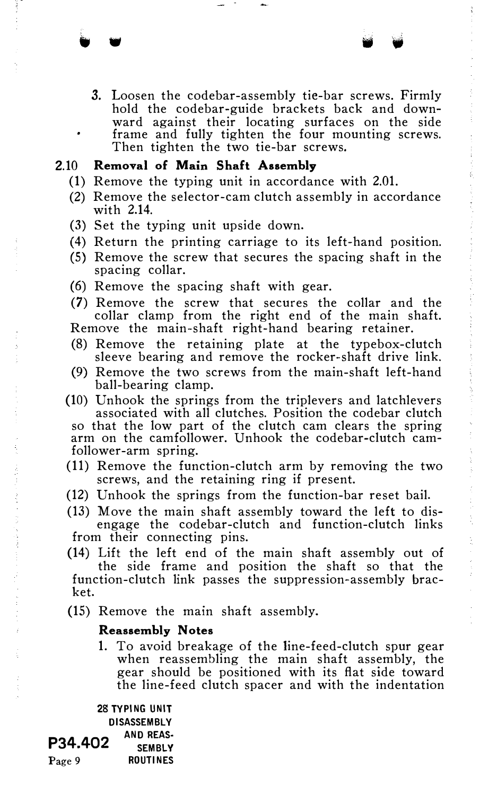3. Loosen the codebar-assembly tie-bar screws. Firmly hold the codebar-guide brackets back and downward against their locating surfaces on the side frame and fully tighten the four mounting screws. Then tighten the two tie-bar screws.

# 2.10 Removal of Main Shaft Assembly

(1) Remove the typing unit in accordance with 2.01.

" . " .

- (2) Remove the selector-cam clutch assembly in accordance with 2.14.
- (3) Set the typing unit upside down.
- (4) Return the printing carriage to its left-hand position.
- (5) Remove the screw that secures the spacing shaft in the spacing collar.
- (6) Remove the spacing shaft with gear.
- (7) Remove the screw that secures the collar and the collar clamp from the right end of the main shaft. Remove the main-shaft right-hand bearing retainer.
- (8) Remove the retaining plate at the typebox-clutch
- sleeve bearing and remove the rocker-shaft drive link.
- (9) Remove the two screws from the main-shaft left-hand ball-bearing clamp.
- (10) Unhook the springs from the triplevers and latchlevers associated with all clutches. Position the codebar clutch so that the low part of the clutch cam clears the spring arm on the camfollower. Unhook the codebar-clutch camfollower-arm spring.
- (11) Remove the function-clutch arm by removing the two screws, and the retaining ring if present.
- (12) Unhook the springs from the function-bar reset bail.
- (13) Move the main shaft assembly toward the left to disengage the codebar-clutch and function-clutch links from their connecting pins.
- (14) Lift the left end of the main shaft assembly out of the side frame and position the shaft so that the function-clutch link passes the suppression-assembly bracket.
- (15) Remove the main shaft assembly.

#### Reassembly Notes

1. To avoid breakage of the line-feed-clutch spur gear when reassembling the main shaft assembly, the gear should be positioned with its flat side toward the line-feed clutch spacer and with the indentation

28 TYPING UNIT DISASSEMBLY P34.402 AND REAS-Page 9 ROUTINES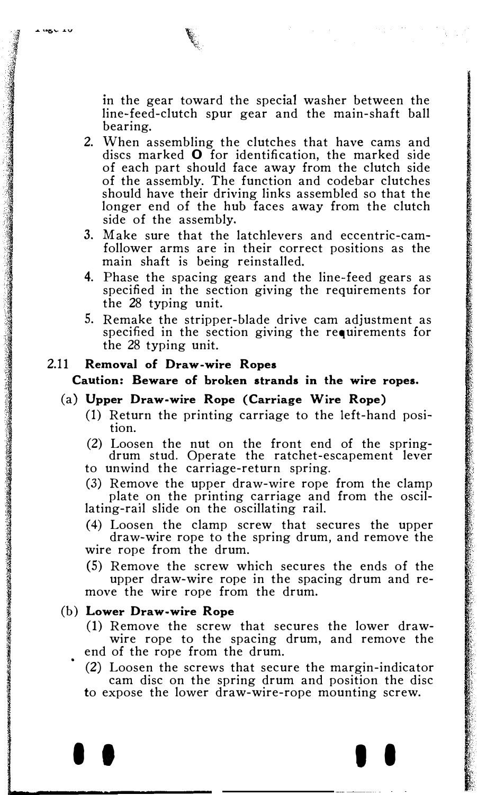$-$  MgV  $+$ 

in the gear toward the special washer between the line-feed-clutch spur gear and the main-shaft ball bearing.

- 2. When assembling the clutches that have cams and discs marked  $O$  for identification, the marked side of each part should face away from the clutch side of the assembly. The function and codebar clutches should have their driving links assembled so that the longer end of the hub faces away from the clutch side of the assembly.
- 3. Make sure that the latchlevers and eccentric-camfollower arms are in their correct positions as the main shaft is being reinstalled.
- 4. Phase the spacing gears and the line-feed gears as specified in the section giving the requirements for the 28 typing unit.
- 5. Remake the stripper-blade drive cam adjustment as specified in the section giving the requirements for the 28 typing unit.

# 2.11 Removal of Draw-wire Ropes

Caution: Beware of broken strands in the wire ropes.

### (a) Upper Draw-wire Rope (Carriage Wire Rope)

- (1) Return the printing carriage to the left-hand position.
- (2) Loosen the nut on the front end of the spring-drum stud. Operate the ratchet-escapement lever to unwind the carriage-return spring.
- (3) Remove the upper draw-wire rope from the clamp plate on the printing carriage and from the oscillating-rail slide on the oscillating rail.

(4) Loosen the clamp screw that secures the upper draw-wire rope to the spring drum, and remove the wire rope from the drum.

(5) Remove the screw which secures the ends of the upper draw-wire rope in the spacing drum and remove the wire rope from the drum.

#### (b) Lower Draw-wire Rope

- (1) Remove the screw that secures the lower drawwire rope to the spacing drum, and remove the end of the rope from the drum.
- (2) Loosen the screws that secure the margin-indicator cam disc on the spring drum and position the disc to expose the lower draw-wire-rope mounting screw.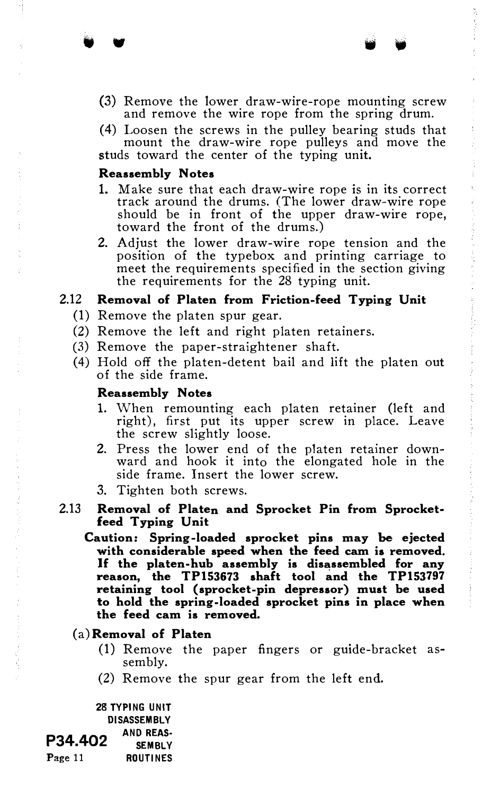- (3) Remove the lower draw-wire-rope mounting screw and remove the wire rope from the spring drum.
- (4) Loosen the screws in the pulley bearing studs that mount the draw-wire rope pulleys and move the studs toward the center of the typing unit.

#### Reassembly Notes

• •

- 1. Make sure that each draw-wire rope is in its correct track around the drums. (The lower draw-wire rope should be in front of the upper draw-wire rope, toward the front of the drums.)
- 2. Adjust the lower draw-wire rope tension and the position of the typebox and printing carriage to meet the requirements specified in the section giving the requirements for the 28 typing unit.

#### 2.12 Removal of Platen from Friction-feed Typing Unit

- (1) Remove the platen spur gear.
- (2) Remove the left and right platen retainers.
- (3) Remove the paper-straightener shaft.
- (4) Hold off the platen-detent bail and lift the platen out of the side frame.

#### Reassembly Notes

- 1. When remounting each platen retainer (left and right), first put its upper screw in place. Leave the screw slightly loose.
- 2. Press the lower end of the platen retainer downward and hook it into the elongated hole in the side frame. Insert the lower screw.
- 3. Tighten both screws.
- 2.13 Removal of Platen and Sprocket Pin from Sprocketfeed Typing Unit
	- Caution: Spring-loaded sprocket pins may be ejected with considerable speed when the feed cam is removed. If the platen-hub assembly is disassembled for any reason, the TP153673 shaft tool and the TP153797 retaining tool (sprocket-pin depressor) must be used to hold the spring-loaded sprocket pins in place when the feed cam is removed.

#### (a) Removal of Platen

- (1) Remove the paper fingers or guide-bracket assembly.
- (2) Remove the spur gear from the left end.

28 TYPING UNIT DISASSEMBLY P34.402 AND REAS-**SEMBLY** Page 11 ROUTINES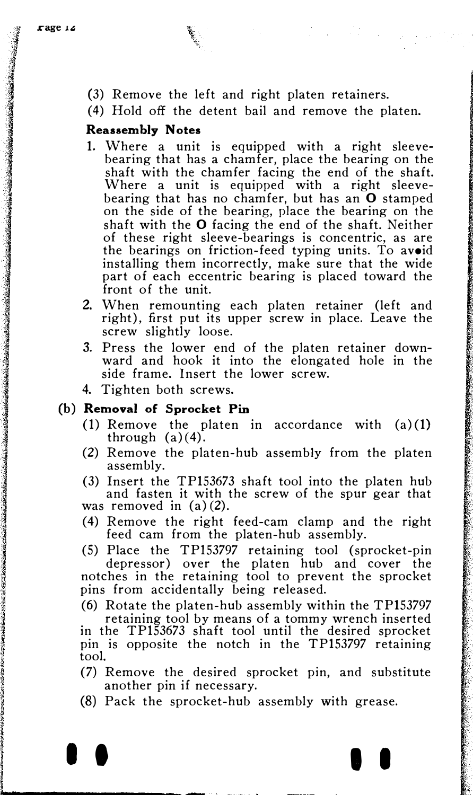(3) Remove the left and right platen retainers.

(4) Hold off the detent bail and remove the platen.

# Reassembly Notes

- 1. Where a unit is equipped with a right sleevebearing that has a chamfer, place the bearing on the shaft with the chamfer facing the end of the shaft. Where a unit is equipped with a right sleevebearing that has no chamfer, but has an O stamped on the side of the bearing, place the bearing on the shaft with the 0 facing the end of the shaft. Neither of these right sleeve-bearings is concentric, as are the bearings on friction-feed typing units. To avoid installing them incorrectly, make sure that the wide part of each eccentric bearing is placed toward the front of the unit.
- 2. When remounting each platen retainer (left and right), first put its upper screw in place. Leave the screw slightly loose.
- 3. Press the lower end of the platen retainer downward and hook it into the elongated hole in the side frame. Insert the lower screw.
- 4. Tighten both screws.

#### (b) Removal of Sprocket Pin

...., \_\_\_\_\_\_\_\_\_\_\_\_ �. ' ·�-· .

- (1) Remove the platen in accordance with  $(a)(1)$ through  $(a)(4)$ .
- (2) Remove the platen-hub assembly from the platen assembly.

(3) Insert the TP153673 shaft tool into the platen hub and fasten it with the screw of the spur gear that was removed in (a) (2).

(4) Remove the right feed-cam clamp and the right feed cam from the platen-hub assembly.

(5) Place the TP153797 retaining tool (sprocket-pin depressor) over the platen hub and cover the notches in the retaining tool to prevent the sprocket pins from accidentally being released.

(6) Rotate the platen-hub assembly within the TP153797 retaining tool by means of a tommy wrench inserted in the TP153673 shaft tool until the desired sprocket pin is opposite the notch in the TP153797 retaining tool.

- (7) Remove the desired sprocket pin, and substitute another pin if necessary.
- (8) Pack the sprocket-hub assembly with grease.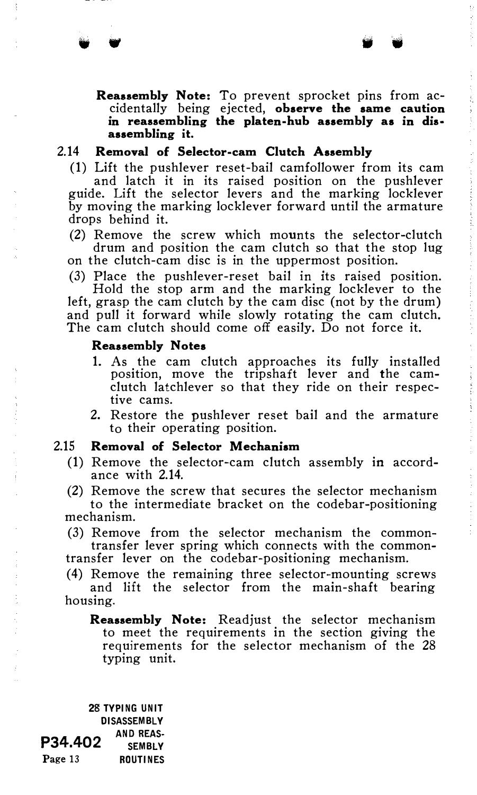w •

#### 2.14 Removal of Selector-cam Clutch Assembly

(1) Lift the pushlever reset-bail camfollower from its cam and latch it in its raised position on the pushlever guide. Lift the selector levers and the marking locklever by moving the marking locklever forward until the armature drops behind it.

(2) Remove the screw which mounts the selector-clutch drum and position the cam clutch so that the stop lug on the clutch-cam disc is in the uppermost position.

(3) Place the pushlever-reset bail in its raised position. Hold the stop arm and the marking locklever to the

left, grasp the cam clutch by the cam disc (not by the drum) and pull it forward while slowly rotating the cam clutch. The cam clutch should come off easily. Do not force it.

#### **Reassembly Notes**

- 1. As the cam clutch approaches its fully installed position, move the tripshaft lever and the camclutch latchlever so that they ride on their respective cams.
- 2. Restore the pushlever reset bail and the armature to their operating position.

## 2.15 Removal of Selector Mechanism

(1) Remove the selector-cam clutch assembly in accordance with 2.14.

(2) Remove the screw that secures the selector mechanism to the intermediate bracket on the codebar-positioning mechanism.

(3) Remove from the selector mechanism the commontransfer lever spring which connects with the common-

transfer lever on the codebar-positioning mechanism.

(4) Remove the remaining three selector-mounting screws and lift the selector from the main-shaft bearing housing.

Reassembly Note: Readjust the selector mechanism to meet the requirements in the section giving the requirements for the selector mechanism of the 28 typing unit.

28 TYPING UNIT DISASSEMBLY P34.402 AND REAS-Page 13 ROUTINES

and the control of the spec-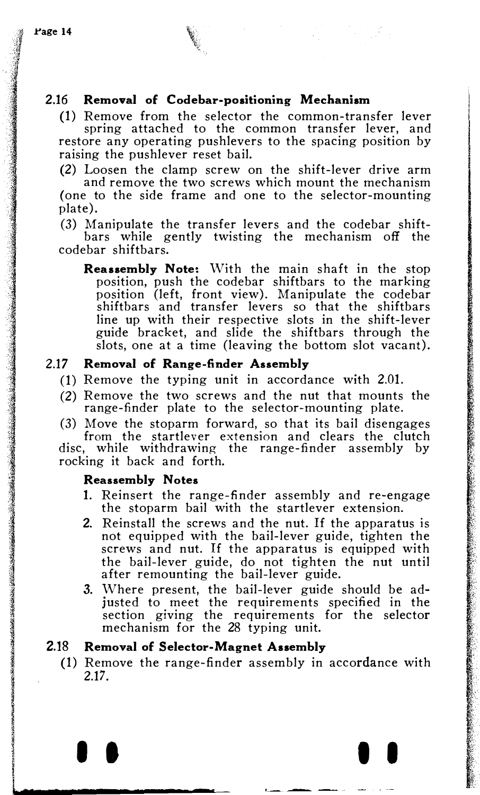# 2.16 Removal of Codebar-positioning Mechanism

(1) Remove from the selector the common-transfer lever spring attached to the common transfer lever, and restore any operating pushlevers to the spacing position by raising the pushlever reset bail.

(2) Loosen the clamp screw on the shift-lever drive arm and remove the two screws which mount the mechanism (one to the side frame and one to the selector-mounting plate).

(3) Manipulate the transfer levers and the codebar shiftbars while gently twisting the mechanism off the codebar shiftbars.

Reassembly Note: With the main shaft in the stop position, push the codebar shiftbars to the marking position (left, front view). Manipulate the codebar shiftbars and transfer levers so that the shiftbars line up with their respective slots in the shift-lever guide bracket, and slide the shiftbars through the slots, one at a time (leaving the bottom slot vacant).

### 2.17 Removal of Range-finder Assembly

- (1) Remove the typing unit in accordance with 2.01.
- (2) Remove the two screws and the nut that mounts the range-finder plate to the selector-mounting plate.
- (3) Move the stoparm forward, so that its bail disengages from the startlever extension and clears the clutch

disc, while withdrawing the range-finder assembly by rocking it back and forth.

### Reassembly Notes

- 1. Reinsert the range-finder assembly and re-engage the stoparm bail with the startlever extension.
- 2. Reinstall the screws and the nut. If the apparatus is not equipped with the bail-lever guide, tighten the screws and nut. If the apparatus is equipped with the bail-lever guide, do not tighten the nut until after remounting the bail-lever guide.
- 3. Where present, the bail-lever guide should be adjusted to meet the requirements specified in the section giving the requirements for the selector mechanism for the 28 typing unit.

# 2.18 Removal of Selector-Magnet Assembly

(1) Remove the range-finder assembly in accordance with 2.17.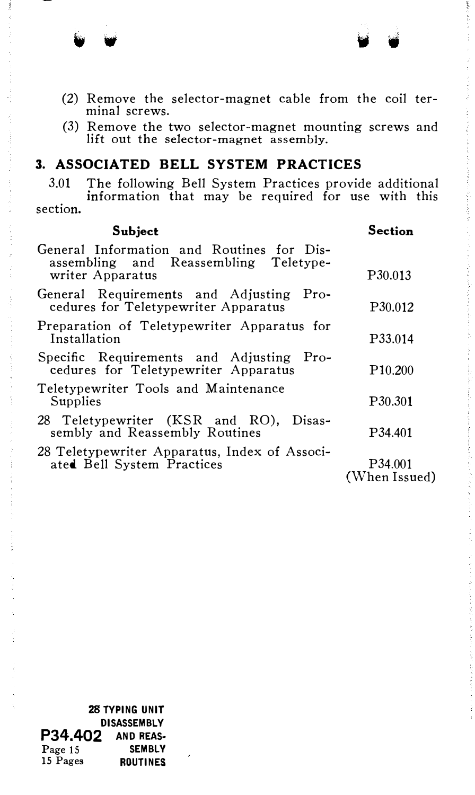- (2) Remove the selector-magnet cable from the coil terminal screws.
- (3) Remove the two selector-magnet mounting screws and lift out the selector-magnet assembly.

# 3. ASSOCIATED BELL SYSTEM PRACTICES

3.01 The following Bell System Practices provide additional information that may be required for use with this section.

| Subject                                                                                                | Section                  |
|--------------------------------------------------------------------------------------------------------|--------------------------|
| General Information and Routines for Dis-<br>assembling and Reassembling Teletype-<br>writer Apparatus | P <sub>30.013</sub>      |
| General Requirements and Adjusting Pro-<br>cedures for Teletypewriter Apparatus                        | P30.012                  |
| Preparation of Teletypewriter Apparatus for<br>Installation                                            | P33.014                  |
| Specific Requirements and Adjusting Pro-<br>cedures for Teletypewriter Apparatus                       | P <sub>10.200</sub>      |
| Teletypewriter Tools and Maintenance<br>Supplies                                                       | P <sub>30.301</sub>      |
| 28 Teletypewriter (KSR and RO), Disas-<br>sembly and Reassembly Routines                               | P <sub>34.401</sub>      |
| 28 Teletypewriter Apparatus, Index of Associ-<br>ated Bell System Practices                            | P34.001<br>(When Issued) |

28 TYPING UNIT DISASSEMBLY<br>2 AND REAS-P34.402 AND REAS-<br>Page 15 SEMBLY Page 15<br>15 Pages ROUTINES